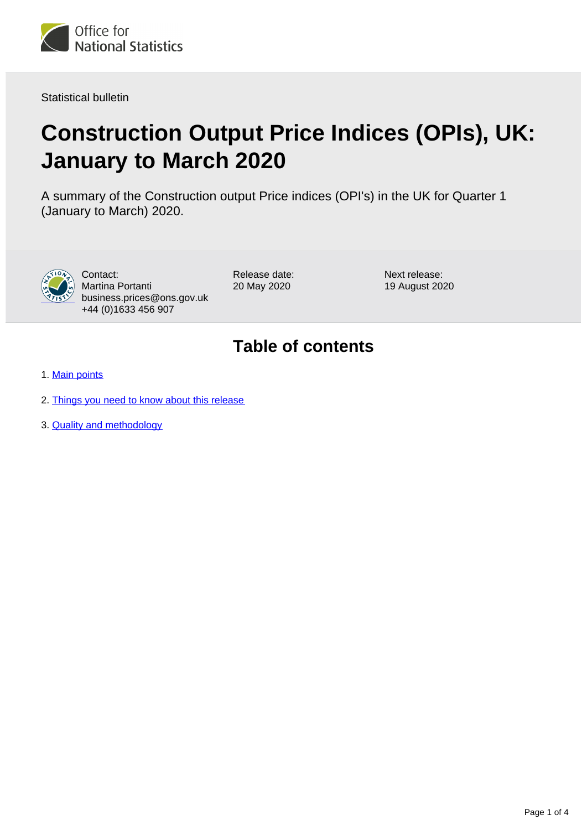

Statistical bulletin

# **Construction Output Price Indices (OPIs), UK: January to March 2020**

A summary of the Construction output Price indices (OPI's) in the UK for Quarter 1 (January to March) 2020.



Contact: Martina Portanti business.prices@ons.gov.uk +44 (0)1633 456 907

Release date: 20 May 2020

Next release: 19 August 2020

### **Table of contents**

- 1. [Main points](#page-1-0)
- 2. [Things you need to know about this release](#page-1-1)
- 3. [Quality and methodology](#page-2-0)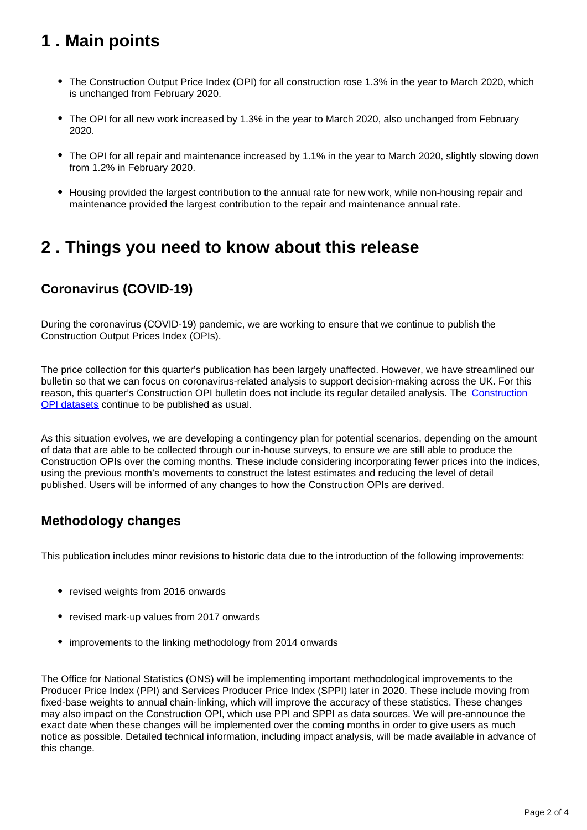# <span id="page-1-0"></span>**1 . Main points**

- The Construction Output Price Index (OPI) for all construction rose 1.3% in the year to March 2020, which is unchanged from February 2020.
- The OPI for all new work increased by 1.3% in the year to March 2020, also unchanged from February 2020.
- The OPI for all repair and maintenance increased by 1.1% in the year to March 2020, slightly slowing down from 1.2% in February 2020.
- Housing provided the largest contribution to the annual rate for new work, while non-housing repair and maintenance provided the largest contribution to the repair and maintenance annual rate.

### <span id="page-1-1"></span>**2 . Things you need to know about this release**

### **Coronavirus (COVID-19)**

During the coronavirus (COVID-19) pandemic, we are working to ensure that we continue to publish the Construction Output Prices Index (OPIs).

The price collection for this quarter's publication has been largely unaffected. However, we have streamlined our bulletin so that we can focus on coronavirus-related analysis to support decision-making across the UK. For this reason, this quarter's [Construction](https://www.ons.gov.uk/businessindustryandtrade/constructionindustry/datasets/interimconstructionoutputpriceindices) OPI bulletin does not include its regular detailed analysis. The Construction [OPI datasets](https://www.ons.gov.uk/businessindustryandtrade/constructionindustry/datasets/interimconstructionoutputpriceindices) continue to be published as usual.

As this situation evolves, we are developing a contingency plan for potential scenarios, depending on the amount of data that are able to be collected through our in-house surveys, to ensure we are still able to produce the Construction OPIs over the coming months. These include considering incorporating fewer prices into the indices, using the previous month's movements to construct the latest estimates and reducing the level of detail published. Users will be informed of any changes to how the Construction OPIs are derived.

#### **Methodology changes**

This publication includes minor revisions to historic data due to the introduction of the following improvements:

- revised weights from 2016 onwards
- revised mark-up values from 2017 onwards
- improvements to the linking methodology from 2014 onwards

The Office for National Statistics (ONS) will be implementing important methodological improvements to the Producer Price Index (PPI) and Services Producer Price Index (SPPI) later in 2020. These include moving from fixed-base weights to annual chain-linking, which will improve the accuracy of these statistics. These changes may also impact on the Construction OPI, which use PPI and SPPI as data sources. We will pre-announce the exact date when these changes will be implemented over the coming months in order to give users as much notice as possible. Detailed technical information, including impact analysis, will be made available in advance of this change.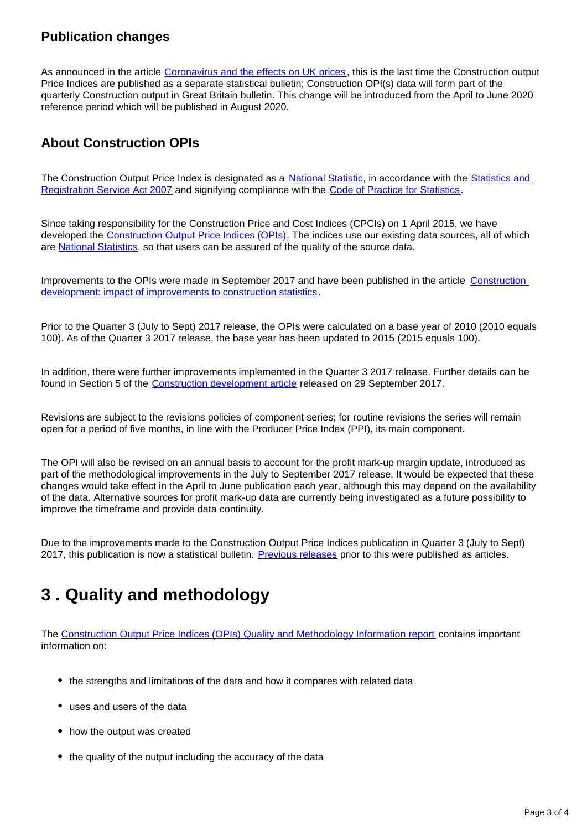#### **Publication changes**

As announced in the article [Coronavirus and the effects on UK prices](https://www.ons.gov.uk/economy/inflationandpriceindices/articles/coronavirusandtheeffectsonukprices/2020-05-06) , this is the last time the Construction output Price Indices are published as a separate statistical bulletin; Construction OPI(s) data will form part of the quarterly Construction output in Great Britain bulletin. This change will be introduced from the April to June 2020 reference period which will be published in August 2020.

### **About Construction OPIs**

The Construction Output Price Index is designated as a [National Statistic](https://www.statisticsauthority.gov.uk/about-the-authority/uk-statistical-system/types-of-official-statistics/), in accordance with the Statistics and [Registration Service Act 2007](https://www.statisticsauthority.gov.uk/about-the-authority/uk-statistical-system/legislation/key-legislative-documents/) and signifying compliance with the [Code of Practice for Statistics](https://www.statisticsauthority.gov.uk/about-the-authority/uk-statistical-system/types-of-official-statistics/).

Since taking responsibility for the Construction Price and Cost Indices (CPCIs) on 1 April 2015, we have developed the [Construction Output Price Indices \(OPIs\).](https://www.ons.gov.uk/businessindustryandtrade/constructionindustry/bulletins/constructionoutputpriceindicesopis/previousReleases) The indices use our existing data sources, all of which are [National Statistics,](https://www.statisticsauthority.gov.uk/about-the-authority/uk-statistical-system/types-of-official-statistics/) so that users can be assured of the quality of the source data.

Improvements to the OPIs were made in September 2017 and have been published in the article [Construction](https://www.ons.gov.uk/businessindustryandtrade/constructionindustry/articles/constructiondevelopment/impactofimprovementstoconstructionstatistics)  [development: impact of improvements to construction statistics.](https://www.ons.gov.uk/businessindustryandtrade/constructionindustry/articles/constructiondevelopment/impactofimprovementstoconstructionstatistics)

Prior to the Quarter 3 (July to Sept) 2017 release, the OPIs were calculated on a base year of 2010 (2010 equals 100). As of the Quarter 3 2017 release, the base year has been updated to 2015 (2015 equals 100).

In addition, there were further improvements implemented in the Quarter 3 2017 release. Further details can be found in Section 5 of the [Construction development article](https://www.ons.gov.uk/businessindustryandtrade/constructionindustry/articles/constructiondevelopment/impactofimprovementstoconstructionstatistics) released on 29 September 2017.

Revisions are subject to the revisions policies of component series; for routine revisions the series will remain open for a period of five months, in line with the Producer Price Index (PPI), its main component.

The OPI will also be revised on an annual basis to account for the profit mark-up margin update, introduced as part of the methodological improvements in the July to September 2017 release. It would be expected that these changes would take effect in the April to June publication each year, although this may depend on the availability of the data. Alternative sources for profit mark-up data are currently being investigated as a future possibility to improve the timeframe and provide data continuity.

Due to the improvements made to the Construction Output Price Indices publication in Quarter 3 (July to Sept) 2017, this publication is now a statistical bulletin. [Previous releases](https://www.ons.gov.uk/businessindustryandtrade/constructionindustry/articles/interimsolutionforconstructionoutputpriceindices/previousReleases) prior to this were published as articles.

# <span id="page-2-0"></span>**3 . Quality and methodology**

The [Construction Output Price Indices \(OPIs\) Quality and Methodology Information report](https://www.ons.gov.uk/businessindustryandtrade/constructionindustry/methodologies/constructionoutputpriceindicesopisqmi) contains important information on:

- the strengths and limitations of the data and how it compares with related data
- uses and users of the data
- how the output was created
- the quality of the output including the accuracy of the data